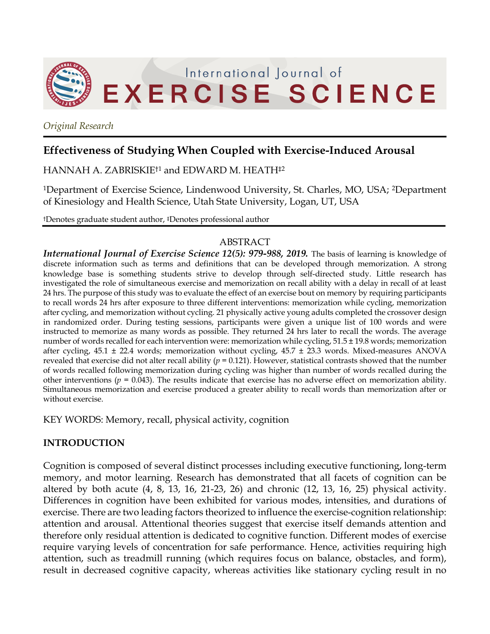

*Original Research*

# **Effectiveness of Studying When Coupled with Exercise-Induced Arousal**

HANNAH A. ZABRISKIE†1 and EDWARD M. HEATH‡2

1Department of Exercise Science, Lindenwood University, St. Charles, MO, USA; 2Department of Kinesiology and Health Science, Utah State University, Logan, UT, USA

†Denotes graduate student author, ‡Denotes professional author

### ABSTRACT

*International Journal of Exercise Science 12(5): 979-988, 2019.* The basis of learning is knowledge of discrete information such as terms and definitions that can be developed through memorization. A strong knowledge base is something students strive to develop through self-directed study. Little research has investigated the role of simultaneous exercise and memorization on recall ability with a delay in recall of at least 24 hrs. The purpose of this study was to evaluate the effect of an exercise bout on memory by requiring participants to recall words 24 hrs after exposure to three different interventions: memorization while cycling, memorization after cycling, and memorization without cycling. 21 physically active young adults completed the crossover design in randomized order. During testing sessions, participants were given a unique list of 100 words and were instructed to memorize as many words as possible. They returned 24 hrs later to recall the words. The average number of words recalled for each intervention were: memorization while cycling, 51.5 ± 19.8 words; memorization after cycling, 45.1 ± 22.4 words; memorization without cycling, 45.7 ± 23.3 words. Mixed-measures ANOVA revealed that exercise did not alter recall ability  $(p = 0.121)$ . However, statistical contrasts showed that the number of words recalled following memorization during cycling was higher than number of words recalled during the other interventions ( $p = 0.043$ ). The results indicate that exercise has no adverse effect on memorization ability. Simultaneous memorization and exercise produced a greater ability to recall words than memorization after or without exercise.

KEY WORDS: Memory, recall, physical activity, cognition

## **INTRODUCTION**

Cognition is composed of several distinct processes including executive functioning, long-term memory, and motor learning. Research has demonstrated that all facets of cognition can be altered by both acute (4, 8, 13, 16, 21-23, 26) and chronic (12, 13, 16, 25) physical activity. Differences in cognition have been exhibited for various modes, intensities, and durations of exercise. There are two leading factors theorized to influence the exercise-cognition relationship: attention and arousal. Attentional theories suggest that exercise itself demands attention and therefore only residual attention is dedicated to cognitive function. Different modes of exercise require varying levels of concentration for safe performance. Hence, activities requiring high attention, such as treadmill running (which requires focus on balance, obstacles, and form), result in decreased cognitive capacity, whereas activities like stationary cycling result in no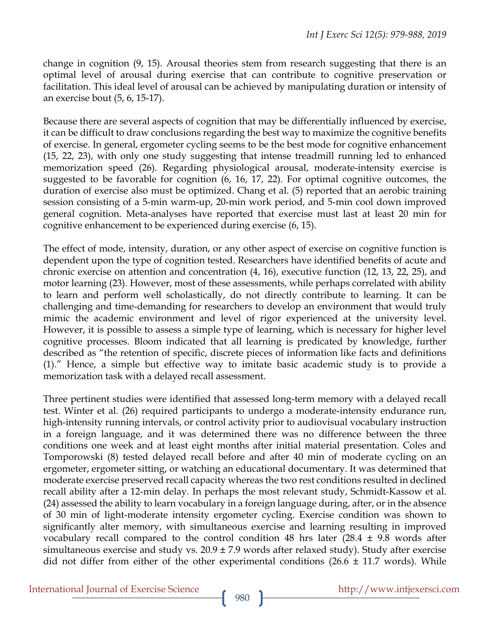change in cognition (9, 15). Arousal theories stem from research suggesting that there is an optimal level of arousal during exercise that can contribute to cognitive preservation or facilitation. This ideal level of arousal can be achieved by manipulating duration or intensity of an exercise bout (5, 6, 15-17).

Because there are several aspects of cognition that may be differentially influenced by exercise, it can be difficult to draw conclusions regarding the best way to maximize the cognitive benefits of exercise. In general, ergometer cycling seems to be the best mode for cognitive enhancement (15, 22, 23), with only one study suggesting that intense treadmill running led to enhanced memorization speed (26). Regarding physiological arousal, moderate-intensity exercise is suggested to be favorable for cognition (6, 16, 17, 22). For optimal cognitive outcomes, the duration of exercise also must be optimized. Chang et al. (5) reported that an aerobic training session consisting of a 5-min warm-up, 20-min work period, and 5-min cool down improved general cognition. Meta-analyses have reported that exercise must last at least 20 min for cognitive enhancement to be experienced during exercise (6, 15).

The effect of mode, intensity, duration, or any other aspect of exercise on cognitive function is dependent upon the type of cognition tested. Researchers have identified benefits of acute and chronic exercise on attention and concentration (4, 16), executive function (12, 13, 22, 25), and motor learning (23). However, most of these assessments, while perhaps correlated with ability to learn and perform well scholastically, do not directly contribute to learning. It can be challenging and time-demanding for researchers to develop an environment that would truly mimic the academic environment and level of rigor experienced at the university level. However, it is possible to assess a simple type of learning, which is necessary for higher level cognitive processes. Bloom indicated that all learning is predicated by knowledge, further described as "the retention of specific, discrete pieces of information like facts and definitions (1)." Hence, a simple but effective way to imitate basic academic study is to provide a memorization task with a delayed recall assessment.

Three pertinent studies were identified that assessed long-term memory with a delayed recall test. Winter et al. (26) required participants to undergo a moderate-intensity endurance run, high-intensity running intervals, or control activity prior to audiovisual vocabulary instruction in a foreign language, and it was determined there was no difference between the three conditions one week and at least eight months after initial material presentation. Coles and Tomporowski (8) tested delayed recall before and after 40 min of moderate cycling on an ergometer, ergometer sitting, or watching an educational documentary. It was determined that moderate exercise preserved recall capacity whereas the two rest conditions resulted in declined recall ability after a 12-min delay. In perhaps the most relevant study, Schmidt-Kassow et al. (24) assessed the ability to learn vocabulary in a foreign language during, after, or in the absence of 30 min of light-moderate intensity ergometer cycling. Exercise condition was shown to significantly alter memory, with simultaneous exercise and learning resulting in improved vocabulary recall compared to the control condition 48 hrs later  $(28.4 \pm 9.8 \text{ words after})$ simultaneous exercise and study vs.  $20.9 \pm 7.9$  words after relaxed study). Study after exercise did not differ from either of the other experimental conditions  $(26.6 \pm 11.7 \text{ words})$ . While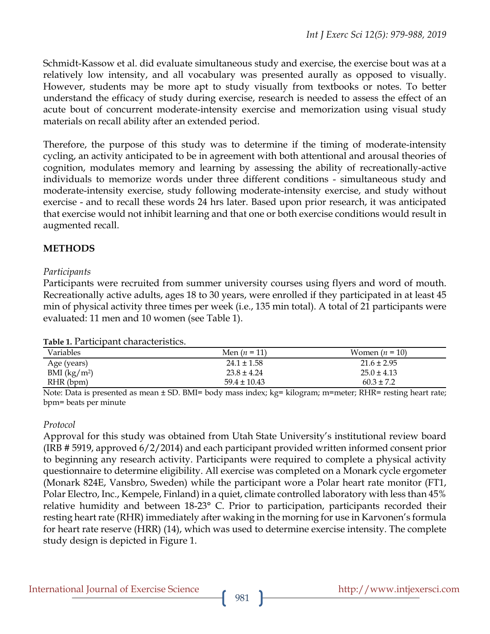Schmidt-Kassow et al. did evaluate simultaneous study and exercise, the exercise bout was at a relatively low intensity, and all vocabulary was presented aurally as opposed to visually. However, students may be more apt to study visually from textbooks or notes. To better understand the efficacy of study during exercise, research is needed to assess the effect of an acute bout of concurrent moderate-intensity exercise and memorization using visual study materials on recall ability after an extended period.

Therefore, the purpose of this study was to determine if the timing of moderate-intensity cycling, an activity anticipated to be in agreement with both attentional and arousal theories of cognition, modulates memory and learning by assessing the ability of recreationally-active individuals to memorize words under three different conditions - simultaneous study and moderate-intensity exercise, study following moderate-intensity exercise, and study without exercise - and to recall these words 24 hrs later. Based upon prior research, it was anticipated that exercise would not inhibit learning and that one or both exercise conditions would result in augmented recall.

## **METHODS**

#### *Participants*

Participants were recruited from summer university courses using flyers and word of mouth. Recreationally active adults, ages 18 to 30 years, were enrolled if they participated in at least 45 min of physical activity three times per week (i.e., 135 min total). A total of 21 participants were evaluated: 11 men and 10 women (see Table 1).

| THEIC II I GENERE CHAINCREID MODI |                  |                  |
|-----------------------------------|------------------|------------------|
| <b>Variables</b>                  | Men $(n = 11)$   | Women $(n = 10)$ |
| Age (years)                       | $24.1 \pm 1.58$  | $21.6 \pm 2.95$  |
| BMI $(kg/m^2)$                    | $23.8 \pm 4.24$  | $25.0 \pm 4.13$  |
| RHR (bpm)                         | $59.4 \pm 10.43$ | $60.3 \pm 7.2$   |

**Table 1.** Participant characteristics.

Note: Data is presented as mean ± SD. BMI= body mass index; kg= kilogram; m=meter; RHR= resting heart rate; bpm= beats per minute

#### *Protocol*

Approval for this study was obtained from Utah State University's institutional review board (IRB # 5919, approved 6/2/2014) and each participant provided written informed consent prior to beginning any research activity. Participants were required to complete a physical activity questionnaire to determine eligibility. All exercise was completed on a Monark cycle ergometer (Monark 824E, Vansbro, Sweden) while the participant wore a Polar heart rate monitor (FT1, Polar Electro, Inc., Kempele, Finland) in a quiet, climate controlled laboratory with less than 45% relative humidity and between 18-23° C. Prior to participation, participants recorded their resting heart rate (RHR) immediately after waking in the morning for use in Karvonen's formula for heart rate reserve (HRR) (14), which was used to determine exercise intensity. The complete study design is depicted in Figure 1.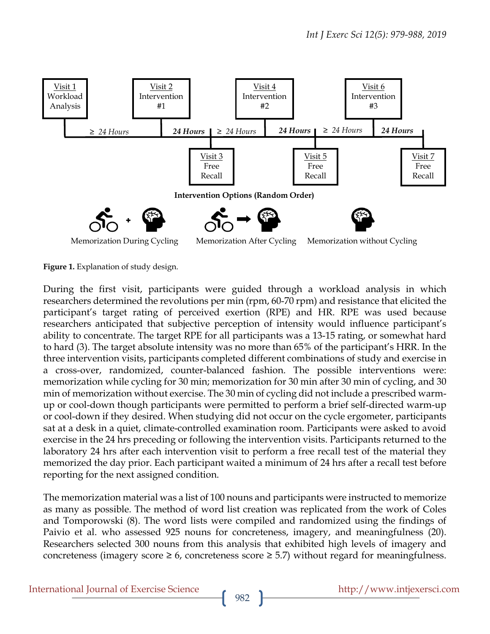

**Figure 1.** Explanation of study design.

During the first visit, participants were guided through a workload analysis in which researchers determined the revolutions per min (rpm, 60-70 rpm) and resistance that elicited the participant's target rating of perceived exertion (RPE) and HR. RPE was used because researchers anticipated that subjective perception of intensity would influence participant's ability to concentrate. The target RPE for all participants was a 13-15 rating, or somewhat hard to hard (3). The target absolute intensity was no more than 65% of the participant's HRR. In the three intervention visits, participants completed different combinations of study and exercise in a cross-over, randomized, counter-balanced fashion. The possible interventions were: memorization while cycling for 30 min; memorization for 30 min after 30 min of cycling, and 30 min of memorization without exercise. The 30 min of cycling did not include a prescribed warmup or cool-down though participants were permitted to perform a brief self-directed warm-up or cool-down if they desired. When studying did not occur on the cycle ergometer, participants sat at a desk in a quiet, climate-controlled examination room. Participants were asked to avoid exercise in the 24 hrs preceding or following the intervention visits. Participants returned to the laboratory 24 hrs after each intervention visit to perform a free recall test of the material they memorized the day prior. Each participant waited a minimum of 24 hrs after a recall test before reporting for the next assigned condition.

The memorization material was a list of 100 nouns and participants were instructed to memorize as many as possible. The method of word list creation was replicated from the work of Coles and Tomporowski (8). The word lists were compiled and randomized using the findings of Paivio et al. who assessed 925 nouns for concreteness, imagery, and meaningfulness (20). Researchers selected 300 nouns from this analysis that exhibited high levels of imagery and concreteness (imagery score  $\geq 6$ , concreteness score  $\geq 5.7$ ) without regard for meaningfulness.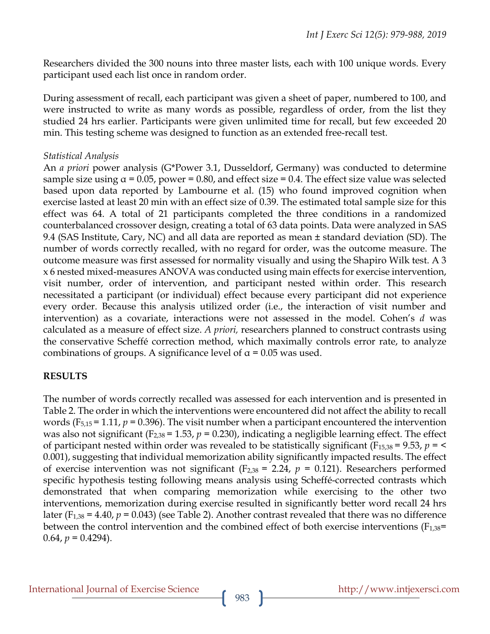Researchers divided the 300 nouns into three master lists, each with 100 unique words. Every participant used each list once in random order.

During assessment of recall, each participant was given a sheet of paper, numbered to 100, and were instructed to write as many words as possible, regardless of order, from the list they studied 24 hrs earlier. Participants were given unlimited time for recall, but few exceeded 20 min. This testing scheme was designed to function as an extended free-recall test.

#### *Statistical Analysis*

An *a priori* power analysis (G\*Power 3.1, Dusseldorf, Germany) was conducted to determine sample size using  $\alpha$  = 0.05, power = 0.80, and effect size = 0.4. The effect size value was selected based upon data reported by Lambourne et al. (15) who found improved cognition when exercise lasted at least 20 min with an effect size of 0.39. The estimated total sample size for this effect was 64. A total of 21 participants completed the three conditions in a randomized counterbalanced crossover design, creating a total of 63 data points. Data were analyzed in SAS 9.4 (SAS Institute, Cary, NC) and all data are reported as mean ± standard deviation (SD). The number of words correctly recalled, with no regard for order, was the outcome measure. The outcome measure was first assessed for normality visually and using the Shapiro Wilk test. A 3 x 6 nested mixed-measures ANOVA was conducted using main effects for exercise intervention, visit number, order of intervention, and participant nested within order. This research necessitated a participant (or individual) effect because every participant did not experience every order. Because this analysis utilized order (i.e., the interaction of visit number and intervention) as a covariate, interactions were not assessed in the model. Cohen's *d* was calculated as a measure of effect size. *A priori,* researchers planned to construct contrasts using the conservative Scheffé correction method, which maximally controls error rate, to analyze combinations of groups. A significance level of  $\alpha$  = 0.05 was used.

## **RESULTS**

The number of words correctly recalled was assessed for each intervention and is presented in Table 2. The order in which the interventions were encountered did not affect the ability to recall words (F5,15 = 1.11, *p* = 0.396). The visit number when a participant encountered the intervention was also not significant ( $F_{2,38}$  = 1.53,  $p$  = 0.230), indicating a negligible learning effect. The effect of participant nested within order was revealed to be statistically significant ( $F_{15,38} = 9.53$ ,  $p = \leq$ 0.001), suggesting that individual memorization ability significantly impacted results. The effect of exercise intervention was not significant ( $F_{2,38}$  = 2.24,  $p = 0.121$ ). Researchers performed specific hypothesis testing following means analysis using Scheffé-corrected contrasts which demonstrated that when comparing memorization while exercising to the other two interventions, memorization during exercise resulted in significantly better word recall 24 hrs later ( $F_{1,38}$  = 4.40,  $p$  = 0.043) (see Table 2). Another contrast revealed that there was no difference between the control intervention and the combined effect of both exercise interventions  $(F_{1,38}=$ 0.64,  $p = 0.4294$ ).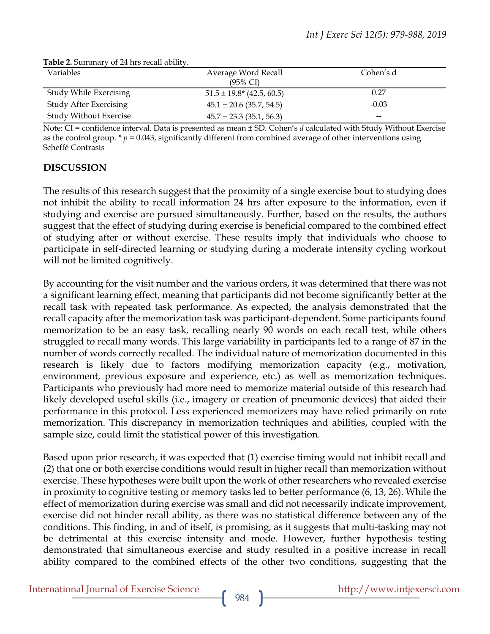| <b>Table 2.</b> Sunfinally Of 24 This recall about. |                                |                          |  |
|-----------------------------------------------------|--------------------------------|--------------------------|--|
| <b>Variables</b>                                    | Average Word Recall            | Cohen's d                |  |
|                                                     | $(95\% \text{ CI})$            |                          |  |
| Study While Exercising                              | $51.5 \pm 19.8^*$ (42.5, 60.5) | 0.27                     |  |
| Study After Exercising                              | $45.1 \pm 20.6$ (35.7, 54.5)   | $-0.03$                  |  |
| <b>Study Without Exercise</b>                       | $45.7 \pm 23.3$ (35.1, 56.3)   | $\overline{\phantom{m}}$ |  |

**Table 2.** Summary of 24 hrs recall ability.

Note: CI = confidence interval. Data is presented as mean ± SD. Cohen's *d* calculated with Study Without Exercise as the control group.  $* p = 0.043$ , significantly different from combined average of other interventions using Scheffé Contrasts

### **DISCUSSION**

The results of this research suggest that the proximity of a single exercise bout to studying does not inhibit the ability to recall information 24 hrs after exposure to the information, even if studying and exercise are pursued simultaneously. Further, based on the results, the authors suggest that the effect of studying during exercise is beneficial compared to the combined effect of studying after or without exercise. These results imply that individuals who choose to participate in self-directed learning or studying during a moderate intensity cycling workout will not be limited cognitively.

By accounting for the visit number and the various orders, it was determined that there was not a significant learning effect, meaning that participants did not become significantly better at the recall task with repeated task performance. As expected, the analysis demonstrated that the recall capacity after the memorization task was participant-dependent. Some participants found memorization to be an easy task, recalling nearly 90 words on each recall test, while others struggled to recall many words. This large variability in participants led to a range of 87 in the number of words correctly recalled. The individual nature of memorization documented in this research is likely due to factors modifying memorization capacity (e.g., motivation, environment, previous exposure and experience, etc.) as well as memorization techniques. Participants who previously had more need to memorize material outside of this research had likely developed useful skills (i.e., imagery or creation of pneumonic devices) that aided their performance in this protocol. Less experienced memorizers may have relied primarily on rote memorization. This discrepancy in memorization techniques and abilities, coupled with the sample size, could limit the statistical power of this investigation.

Based upon prior research, it was expected that (1) exercise timing would not inhibit recall and (2) that one or both exercise conditions would result in higher recall than memorization without exercise. These hypotheses were built upon the work of other researchers who revealed exercise in proximity to cognitive testing or memory tasks led to better performance (6, 13, 26). While the effect of memorization during exercise was small and did not necessarily indicate improvement, exercise did not hinder recall ability, as there was no statistical difference between any of the conditions. This finding, in and of itself, is promising, as it suggests that multi-tasking may not be detrimental at this exercise intensity and mode. However, further hypothesis testing demonstrated that simultaneous exercise and study resulted in a positive increase in recall ability compared to the combined effects of the other two conditions, suggesting that the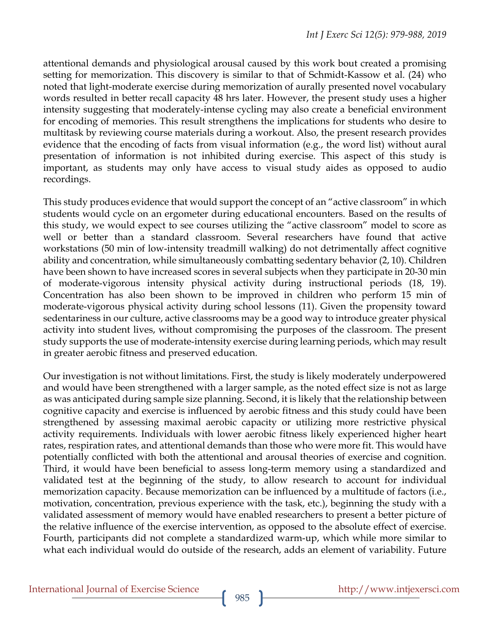attentional demands and physiological arousal caused by this work bout created a promising setting for memorization. This discovery is similar to that of Schmidt-Kassow et al. (24) who noted that light-moderate exercise during memorization of aurally presented novel vocabulary words resulted in better recall capacity 48 hrs later. However, the present study uses a higher intensity suggesting that moderately-intense cycling may also create a beneficial environment for encoding of memories. This result strengthens the implications for students who desire to multitask by reviewing course materials during a workout. Also, the present research provides evidence that the encoding of facts from visual information (e.g., the word list) without aural presentation of information is not inhibited during exercise. This aspect of this study is important, as students may only have access to visual study aides as opposed to audio recordings.

This study produces evidence that would support the concept of an "active classroom" in which students would cycle on an ergometer during educational encounters. Based on the results of this study, we would expect to see courses utilizing the "active classroom" model to score as well or better than a standard classroom. Several researchers have found that active workstations (50 min of low-intensity treadmill walking) do not detrimentally affect cognitive ability and concentration, while simultaneously combatting sedentary behavior (2, 10). Children have been shown to have increased scores in several subjects when they participate in 20-30 min of moderate-vigorous intensity physical activity during instructional periods (18, 19). Concentration has also been shown to be improved in children who perform 15 min of moderate-vigorous physical activity during school lessons (11). Given the propensity toward sedentariness in our culture, active classrooms may be a good way to introduce greater physical activity into student lives, without compromising the purposes of the classroom. The present study supports the use of moderate-intensity exercise during learning periods, which may result in greater aerobic fitness and preserved education.

Our investigation is not without limitations. First, the study is likely moderately underpowered and would have been strengthened with a larger sample, as the noted effect size is not as large as was anticipated during sample size planning. Second, it is likely that the relationship between cognitive capacity and exercise is influenced by aerobic fitness and this study could have been strengthened by assessing maximal aerobic capacity or utilizing more restrictive physical activity requirements. Individuals with lower aerobic fitness likely experienced higher heart rates, respiration rates, and attentional demands than those who were more fit. This would have potentially conflicted with both the attentional and arousal theories of exercise and cognition. Third, it would have been beneficial to assess long-term memory using a standardized and validated test at the beginning of the study, to allow research to account for individual memorization capacity. Because memorization can be influenced by a multitude of factors (i.e., motivation, concentration, previous experience with the task, etc.), beginning the study with a validated assessment of memory would have enabled researchers to present a better picture of the relative influence of the exercise intervention, as opposed to the absolute effect of exercise. Fourth, participants did not complete a standardized warm-up, which while more similar to what each individual would do outside of the research, adds an element of variability. Future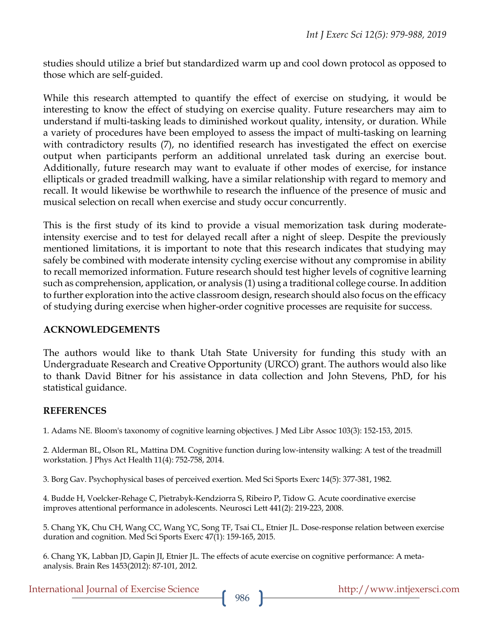studies should utilize a brief but standardized warm up and cool down protocol as opposed to those which are self-guided.

While this research attempted to quantify the effect of exercise on studying, it would be interesting to know the effect of studying on exercise quality. Future researchers may aim to understand if multi-tasking leads to diminished workout quality, intensity, or duration. While a variety of procedures have been employed to assess the impact of multi-tasking on learning with contradictory results (7), no identified research has investigated the effect on exercise output when participants perform an additional unrelated task during an exercise bout. Additionally, future research may want to evaluate if other modes of exercise, for instance ellipticals or graded treadmill walking, have a similar relationship with regard to memory and recall. It would likewise be worthwhile to research the influence of the presence of music and musical selection on recall when exercise and study occur concurrently.

This is the first study of its kind to provide a visual memorization task during moderateintensity exercise and to test for delayed recall after a night of sleep. Despite the previously mentioned limitations, it is important to note that this research indicates that studying may safely be combined with moderate intensity cycling exercise without any compromise in ability to recall memorized information. Future research should test higher levels of cognitive learning such as comprehension, application, or analysis (1) using a traditional college course. In addition to further exploration into the active classroom design, research should also focus on the efficacy of studying during exercise when higher-order cognitive processes are requisite for success.

#### **ACKNOWLEDGEMENTS**

The authors would like to thank Utah State University for funding this study with an Undergraduate Research and Creative Opportunity (URCO) grant. The authors would also like to thank David Bitner for his assistance in data collection and John Stevens, PhD, for his statistical guidance.

#### **REFERENCES**

1. Adams NE. Bloom's taxonomy of cognitive learning objectives. J Med Libr Assoc 103(3): 152-153, 2015.

2. Alderman BL, Olson RL, Mattina DM. Cognitive function during low-intensity walking: A test of the treadmill workstation. J Phys Act Health 11(4): 752-758, 2014.

3. Borg Gav. Psychophysical bases of perceived exertion. Med Sci Sports Exerc 14(5): 377-381, 1982.

4. Budde H, Voelcker-Rehage C, Pietrabyk-Kendziorra S, Ribeiro P, Tidow G. Acute coordinative exercise improves attentional performance in adolescents. Neurosci Lett 441(2): 219-223, 2008.

5. Chang YK, Chu CH, Wang CC, Wang YC, Song TF, Tsai CL, Etnier JL. Dose-response relation between exercise duration and cognition. Med Sci Sports Exerc 47(1): 159-165, 2015.

6. Chang YK, Labban JD, Gapin JI, Etnier JL. The effects of acute exercise on cognitive performance: A metaanalysis. Brain Res 1453(2012): 87-101, 2012.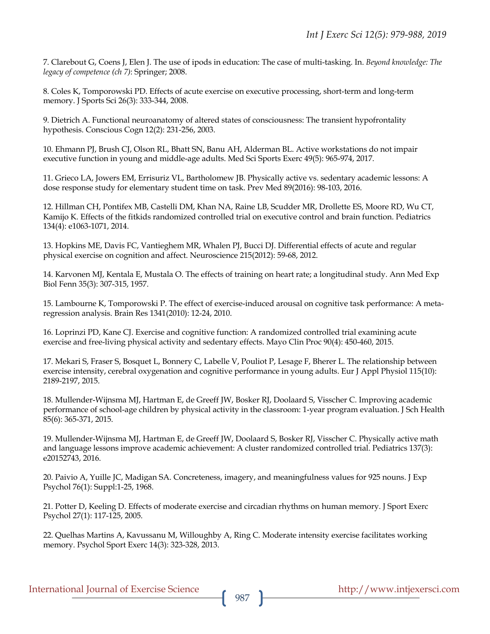7. Clarebout G, Coens J, Elen J. The use of ipods in education: The case of multi-tasking. In. *Beyond knowledge: The legacy of competence (ch 7)*: Springer; 2008.

8. Coles K, Tomporowski PD. Effects of acute exercise on executive processing, short-term and long-term memory. J Sports Sci 26(3): 333-344, 2008.

9. Dietrich A. Functional neuroanatomy of altered states of consciousness: The transient hypofrontality hypothesis. Conscious Cogn 12(2): 231-256, 2003.

10. Ehmann PJ, Brush CJ, Olson RL, Bhatt SN, Banu AH, Alderman BL. Active workstations do not impair executive function in young and middle-age adults. Med Sci Sports Exerc 49(5): 965-974, 2017.

11. Grieco LA, Jowers EM, Errisuriz VL, Bartholomew JB. Physically active vs. sedentary academic lessons: A dose response study for elementary student time on task. Prev Med 89(2016): 98-103, 2016.

12. Hillman CH, Pontifex MB, Castelli DM, Khan NA, Raine LB, Scudder MR, Drollette ES, Moore RD, Wu CT, Kamijo K. Effects of the fitkids randomized controlled trial on executive control and brain function. Pediatrics 134(4): e1063-1071, 2014.

13. Hopkins ME, Davis FC, Vantieghem MR, Whalen PJ, Bucci DJ. Differential effects of acute and regular physical exercise on cognition and affect. Neuroscience 215(2012): 59-68, 2012.

14. Karvonen MJ, Kentala E, Mustala O. The effects of training on heart rate; a longitudinal study. Ann Med Exp Biol Fenn 35(3): 307-315, 1957.

15. Lambourne K, Tomporowski P. The effect of exercise-induced arousal on cognitive task performance: A metaregression analysis. Brain Res 1341(2010): 12-24, 2010.

16. Loprinzi PD, Kane CJ. Exercise and cognitive function: A randomized controlled trial examining acute exercise and free-living physical activity and sedentary effects. Mayo Clin Proc 90(4): 450-460, 2015.

17. Mekari S, Fraser S, Bosquet L, Bonnery C, Labelle V, Pouliot P, Lesage F, Bherer L. The relationship between exercise intensity, cerebral oxygenation and cognitive performance in young adults. Eur J Appl Physiol 115(10): 2189-2197, 2015.

18. Mullender-Wijnsma MJ, Hartman E, de Greeff JW, Bosker RJ, Doolaard S, Visscher C. Improving academic performance of school-age children by physical activity in the classroom: 1-year program evaluation. J Sch Health 85(6): 365-371, 2015.

19. Mullender-Wijnsma MJ, Hartman E, de Greeff JW, Doolaard S, Bosker RJ, Visscher C. Physically active math and language lessons improve academic achievement: A cluster randomized controlled trial. Pediatrics 137(3): e20152743, 2016.

20. Paivio A, Yuille JC, Madigan SA. Concreteness, imagery, and meaningfulness values for 925 nouns. J Exp Psychol 76(1): Suppl:1-25, 1968.

21. Potter D, Keeling D. Effects of moderate exercise and circadian rhythms on human memory. J Sport Exerc Psychol 27(1): 117-125, 2005.

22. Quelhas Martins A, Kavussanu M, Willoughby A, Ring C. Moderate intensity exercise facilitates working memory. Psychol Sport Exerc 14(3): 323-328, 2013.